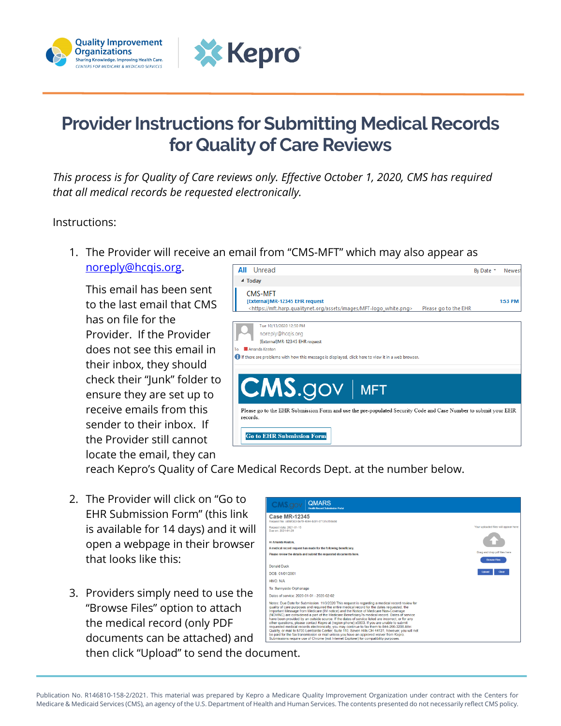



## **Provider Instructions for Submitting Medical Records for Quality of Care Reviews**

*This process is for Quality of Care reviews only. Effective October 1, 2020, CMS has required that all medical records be requested electronically.*

## Instructions:

1. The Provider will receive an email from "CMS-MFT" which may also appear as

[noreply@hcqis.org.](mailto:noreply@hcqis.org)

This email has been sent to the last email that CMS has on file for the Provider. If the Provider does not see this email in their inbox, they should check their "Junk" folder to ensure they are set up to receive emails from this sender to their inbox. If the Provider still cannot locate the email, they can



reach Kepro's Quality of Care Medical Records Dept. at the number below.

- 2. The Provider will click on "Go to EHR Submission Form" (this link is available for 14 days) and it will open a webpage in their browser that looks like this:
- 3. Providers simply need to use the "Browse Files" option to attach the medical record (only PDF documents can be attached) and then click "Upload" to send the document.